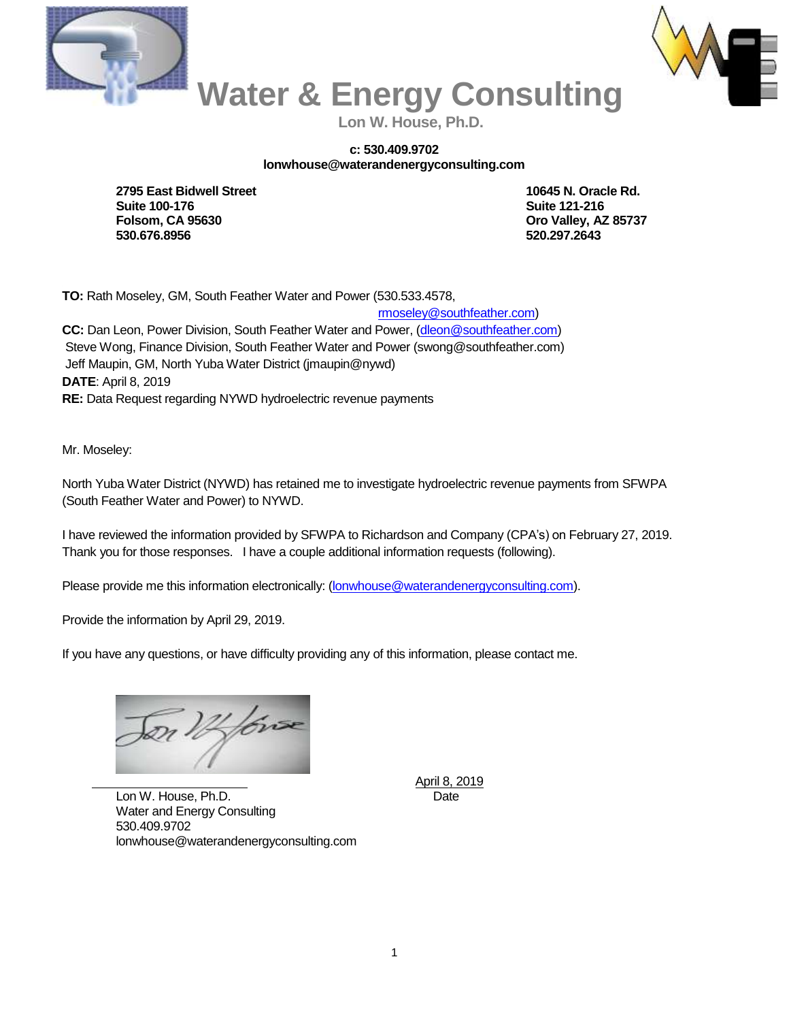



 **Water & Energy Consulting Lon W. House, Ph.D.**

## **c: 530.409.9702 lonwhouse@waterandenergyconsulting.com**

**2795 East Bidwell Street 10645 N. Oracle Rd. Suite 100-176 Suite 121-216 Folsom, CA 95630 Oro Valley, AZ 85737 530.676.8956 520.297.2643**

**TO:** Rath Moseley, GM, South Feather Water and Power (530.533.4578,

 [rmoseley@southfeather.com\)](mailto:rmoseley@southfeather.com) **CC:** Dan Leon, Power Division, South Feather Water and Power, [\(dleon@southfeather.com\)](mailto:dleon@southfeather.com) Steve Wong, Finance Division, South Feather Water and Power (swong@southfeather.com) Jeff Maupin, GM, North Yuba Water District (jmaupin@nywd) **DATE**: April 8, 2019 **RE:** Data Request regarding NYWD hydroelectric revenue payments

Mr. Moseley:

North Yuba Water District (NYWD) has retained me to investigate hydroelectric revenue payments from SFWPA (South Feather Water and Power) to NYWD.

I have reviewed the information provided by SFWPA to Richardson and Company (CPA's) on February 27, 2019. Thank you for those responses. I have a couple additional information requests (following).

Please provide me this information electronically: [\(lonwhouse@waterandenergyconsulting.com\)](mailto:lonwhouse@waterandenergyconsulting.com).

Provide the information by April 29, 2019.

If you have any questions, or have difficulty providing any of this information, please contact me.

Dr 12 fors

April 8, 2019

Lon W. House, Ph.D. Date Water and Energy Consulting 530.409.9702 lonwhouse@waterandenergyconsulting.com